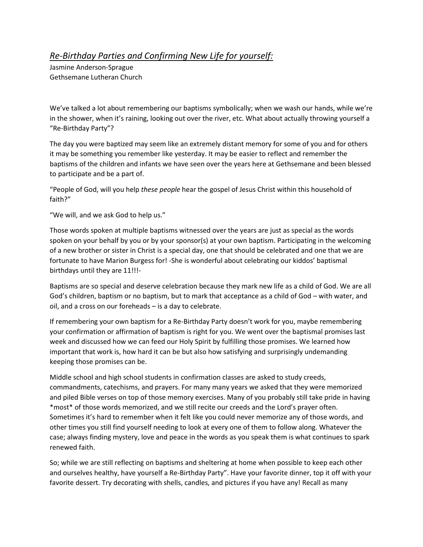## *Re-Birthday Parties and Confirming New Life for yourself:*

Jasmine Anderson-Sprague Gethsemane Lutheran Church

We've talked a lot about remembering our baptisms symbolically; when we wash our hands, while we're in the shower, when it's raining, looking out over the river, etc. What about actually throwing yourself a "Re-Birthday Party"?

The day you were baptized may seem like an extremely distant memory for some of you and for others it may be something you remember like yesterday. It may be easier to reflect and remember the baptisms of the children and infants we have seen over the years here at Gethsemane and been blessed to participate and be a part of.

"People of God, will you help *these people* hear the gospel of Jesus Christ within this household of faith?"

"We will, and we ask God to help us."

Those words spoken at multiple baptisms witnessed over the years are just as special as the words spoken on your behalf by you or by your sponsor(s) at your own baptism. Participating in the welcoming of a new brother or sister in Christ is a special day, one that should be celebrated and one that we are fortunate to have Marion Burgess for! -She is wonderful about celebrating our kiddos' baptismal birthdays until they are 11!!!-

Baptisms are so special and deserve celebration because they mark new life as a child of God. We are all God's children, baptism or no baptism, but to mark that acceptance as a child of God – with water, and oil, and a cross on our foreheads – is a day to celebrate.

If remembering your own baptism for a Re-Birthday Party doesn't work for you, maybe remembering your confirmation or affirmation of baptism is right for you. We went over the baptismal promises last week and discussed how we can feed our Holy Spirit by fulfilling those promises. We learned how important that work is, how hard it can be but also how satisfying and surprisingly undemanding keeping those promises can be.

Middle school and high school students in confirmation classes are asked to study creeds, commandments, catechisms, and prayers. For many many years we asked that they were memorized and piled Bible verses on top of those memory exercises. Many of you probably still take pride in having \*most\* of those words memorized, and we still recite our creeds and the Lord's prayer often. Sometimes it's hard to remember when it felt like you could never memorize any of those words, and other times you still find yourself needing to look at every one of them to follow along. Whatever the case; always finding mystery, love and peace in the words as you speak them is what continues to spark renewed faith.

So; while we are still reflecting on baptisms and sheltering at home when possible to keep each other and ourselves healthy, have yourself a Re-Birthday Party". Have your favorite dinner, top it off with your favorite dessert. Try decorating with shells, candles, and pictures if you have any! Recall as many